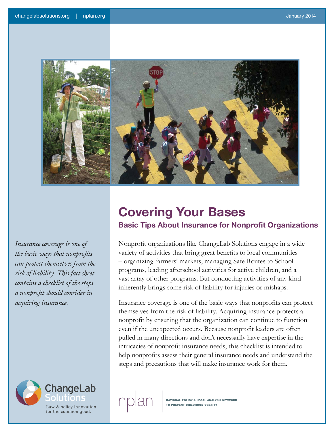

*Insurance coverage is one of the basic ways that nonprofits can protect themselves from the risk of liability. This fact sheet contains a checklist of the steps a nonprofit should consider in acquiring insurance.* 



# **Covering Your Bases**

# **Basic Tips About Insurance for Nonprofit Organizations**

Nonprofit organizations like ChangeLab Solutions engage in a wide variety of activities that bring great benefits to local communities – organizing farmers' markets, managing Safe Routes to School programs, leading afterschool activities for active children, and a vast array of other programs. But conducting activities of any kind inherently brings some risk of liability for injuries or mishaps.

Insurance coverage is one of the basic ways that nonprofits can protect themselves from the risk of liability. Acquiring insurance protects a nonprofit by ensuring that the organization can continue to function even if the unexpected occurs. Because nonprofit leaders are often pulled in many directions and don't necessarily have expertise in the intricacies of nonprofit insurance needs, this checklist is intended to help nonprofits assess their general insurance needs and understand the steps and precautions that will make insurance work for them.

**NATIONAL POLICY & LEGAL ANALYSIS NETWORK** TO PREVENT CHILDHOOD OBESITY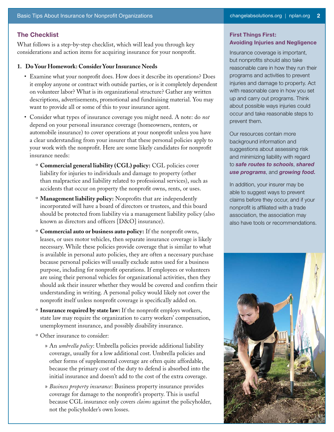# **The Checklist**

What follows is a step-by-step checklist, which will lead you through key considerations and action items for acquiring insurance for your nonprofit.

#### **1. Do Your Homework: Consider Your Insurance Needs**

- Examine what your nonprofit does. How does it describe its operations? Does it employ anyone or contract with outside parties, or is it completely dependent on volunteer labor? What is its organizational structure? Gather any written descriptions, advertisements, promotional and fundraising material. You may want to provide all or some of this to your insurance agent.
- • Consider what types of insurance coverage you might need. A note: do *not* depend on your personal insurance coverage (homeowners, renters, or automobile insurance) to cover operations at your nonprofit unless you have a clear understanding from your insurer that these personal policies apply to your work with the nonprofit. Here are some likely candidates for nonprofit insurance needs:
	- º **Commercial general liability (CGL) policy:** CGL policies cover liability for injuries to individuals and damage to property (other than malpractice and liability related to professional services), such as accidents that occur on property the nonprofit owns, rents, or uses.
	- º **Management liability policy:** Nonprofits that are independently incorporated will have a board of directors or trustees, and this board should be protected from liability via a management liability policy (also known as directors and officers [D&O] insurance).
	- º **Commercial auto or business auto policy:** If the nonprofit owns, leases, or uses motor vehicles, then separate insurance coverage is likely necessary. While these policies provide coverage that is similar to what is available in personal auto policies, they are often a necessary purchase because personal policies will usually exclude autos used for a business purpose, including for nonprofit operations. If employees or volunteers are using their personal vehicles for organizational activities, then they should ask their insurer whether they would be covered and confirm their understanding in writing. A personal policy would likely not cover the nonprofit itself unless nonprofit coverage is specifically added on.
	- º **Insurance required by state law:** If the nonprofit employs workers, state law may require the organization to carry workers' compensation, unemployment insurance, and possibly disability insurance.
	- º Other insurance to consider:
		- » An *umbrella policy*: Umbrella policies provide additional liability coverage, usually for a low additional cost. Umbrella policies and other forms of supplemental coverage are often quite affordable, because the primary cost of the duty to defend is absorbed into the initial insurance and doesn't add to the cost of the extra coverage.
		- » *Business property insurance*: Business property insurance provides coverage for damage to the nonprofit's property. This is useful because CGL insurance only covers *claims* against the policyholder, not the policyholder's own losses.

### **First Things First: Avoiding Injuries and Negligence**

Insurance coverage is important, but nonprofits should also take reasonable care in how they run their programs and activities to prevent injuries and damage to property. Act with reasonable care in how you set up and carry out programs. Think about possible ways injuries could occur and take reasonable steps to prevent them.

Our resources contain more background information and suggestions about assessing risk and minimizing liability with regard to *[safe routes to schools](http://changelabsolutions.org/publications/SRTS-resources)*, *[shared](http://changelabsolutions.org/publications/fact-sheet-liability-use-school-property-after-hours)  [use programs](http://changelabsolutions.org/publications/fact-sheet-liability-use-school-property-after-hours)*, and *[growing food.](http://changelabsolutions.org/publications/dig-eat-be-healthy)*

In addition, your insurer may be able to suggest ways to prevent claims before they occur, and if your nonprofit is affiliated with a trade association, the association may also have tools or recommendations.

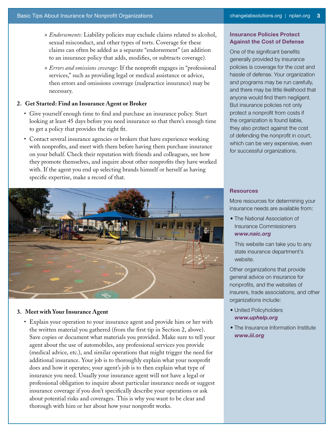- » *Endorsements:* Liability policies may exclude claims related to alcohol, sexual misconduct, and other types of torts. Coverage for these claims can often be added as a separate "endorsement" (an addition to an insurance policy that adds, modifies, or subtracts coverage).
- » *Errors and omissions coverage*: If the nonprofit engages in "professional services," such as providing legal or medical assistance or advice, then errors and omissions coverage (malpractice insurance) may be necessary.

# **2. Get Started: Find an Insurance Agent or Broker**

- • Give yourself enough time to find and purchase an insurance policy. Start looking at least 45 days before you need insurance so that there's enough time to get a policy that provides the right fit.
- Contact several insurance agencies or brokers that have experience working with nonprofits, and meet with them before having them purchase insurance on your behalf. Check their reputation with friends and colleagues, see how they promote themselves, and inquire about other nonprofits they have worked with. If the agent you end up selecting brands himself or herself as having specific expertise, make a record of that.



#### **3. Meet with Your Insurance Agent**

• Explain your operation to your insurance agent and provide him or her with the written material you gathered (from the first tip in Section 2, above). Save copies or document what materials you provided. Make sure to tell your agent about the use of automobiles, any professional services you provide (medical advice, etc.), and similar operations that might trigger the need for additional insurance. Your job is to thoroughly explain what your nonprofit does and how it operates; your agent's job is to then explain what type of insurance you need. Usually your insurance agent will not have a legal or professional obligation to inquire about particular insurance needs or suggest insurance coverage if you don't specifically describe your operations or ask about potential risks and coverages. This is why you want to be clear and thorough with him or her about how your nonprofit works.

#### **Insurance Policies Protect Against the Cost of Defense**

One of the significant benefits generally provided by insurance policies is coverage for the cost and hassle of defense. Your organization and programs may be run carefully, and there may be little likelihood that anyone would find them negligent. But insurance policies not only protect a nonprofit from costs if the organization is found liable, they also protect against the cost of defending the nonprofit in court, which can be very expensive, even for successful organizations.

#### **Resources**

More resources for determining your insurance needs are available from:

• The National Association of Insurance Commissioners *www.naic.org* 

This website can take you to any state insurance department's website.

Other organizations that provide general advice on insurance for nonprofits, and the websites of insurers, trade associations, and other organizations include:

- United Policyholders *www.uphelp.org*
- The Insurance Information Institute *www.iii.org*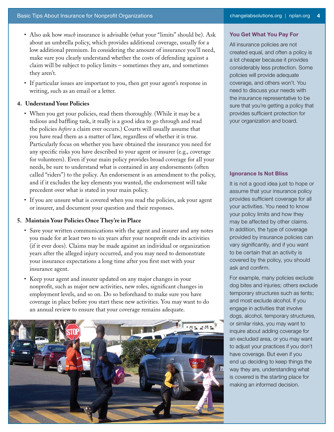- Also ask how *much* insurance is advisable (what your "limits" should be). Ask about an umbrella policy, which provides additional coverage, usually for a low additional premium. In considering the amount of insurance you'll need, make sure you clearly understand whether the costs of defending against a claim will be subject to policy limits – sometimes they are, and sometimes they aren't.
- If particular issues are important to you, then get your agent's response in writing, such as an email or a letter.

#### **4. Understand Your Policies**

- When you get your policies, read them thoroughly. (While it may be a tedious and baffling task, it really is a good idea to go through and read the policies *before* a claim ever occurs.) Courts will usually assume that you have read them as a matter of law, regardless of whether it is true. Particularly focus on whether you have obtained the insurance you need for any specific risks you have described to your agent or insurer (e.g., coverage for volunteers). Even if your main policy provides broad coverage for all your needs, be sure to understand what is contained in any endorsements (often called "riders") to the policy. An endorsement is an amendment to the policy, and if it excludes the key elements you wanted, the endorsement will take precedent over what is stated in your main policy.
- If you are unsure what is covered when you read the policies, ask your agent or insurer, and document your question and their responses.

#### **5. Maintain Your Policies Once They're in Place**

- • Save your written communications with the agent and insurer and any notes you made for at least two to six years after your nonprofit ends its activities (if it ever does). Claims may be made against an individual or organization years after the alleged injury occurred, and you may need to demonstrate your insurance expectations a long time after you first met with your insurance agent.
- • Keep your agent and insurer updated on any major changes in your nonprofit, such as major new activities, new roles, significant changes in employment levels, and so on. Do so beforehand to make sure you have coverage in place before you start these new activities. You may want to do an annual review to ensure that your coverage remains adequate.



#### **You Get What You Pay For**

All insurance policies are not created equal, and often a policy is a lot cheaper because it provides considerably less protection. Some policies will provide adequate coverage, and others won't. You need to discuss your needs with the insurance representative to be sure that you're getting a policy that provides sufficient protection for your organization and board.

#### **Ignorance Is Not Bliss**

It is not a good idea just to hope or assume that your insurance policy provides sufficient coverage for all your activities. You need to know your policy limits and how they may be affected by other claims. In addition, the type of coverage provided by insurance policies can vary significantly, and if you want to be certain that an activity is covered by the policy, you should ask and confirm.

For example, many policies exclude dog bites and injuries; others exclude temporary structures such as tents; and most exclude alcohol. If you engage in activities that involve dogs, alcohol, temporary structures, or similar risks, you may want to inquire about adding coverage for an excluded area, or you may want to adjust your practices if you don't have coverage. But even if you end up deciding to keep things the way they are, understanding what is covered is the starting place for making an informed decision.